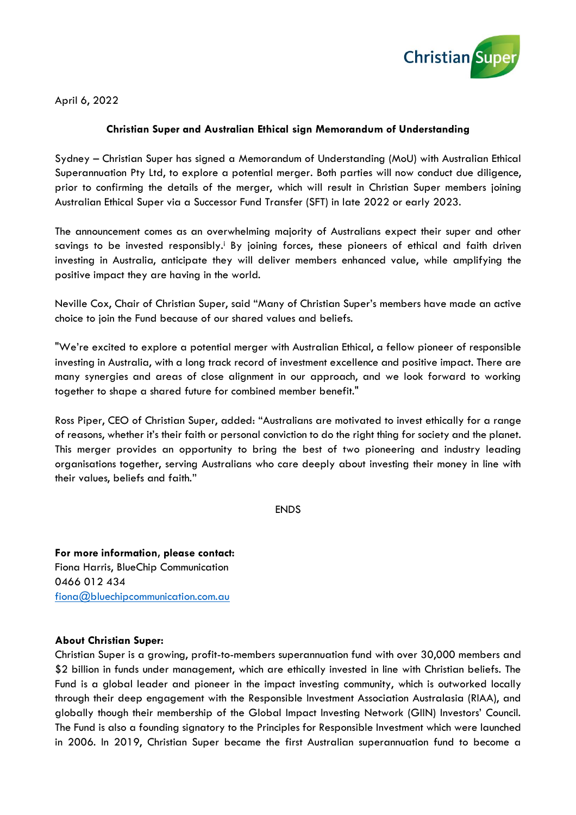

April 6, 2022

## **Christian Super and Australian Ethical sign Memorandum of Understanding**

Sydney – Christian Super has signed a Memorandum of Understanding (MoU) with Australian Ethical Superannuation Pty Ltd, to explore a potential merger. Both parties will now conduct due diligence, prior to confirming the details of the merger, which will result in Christian Super members joining Australian Ethical Super via a Successor Fund Transfer (SFT) in late 2022 or early 2023.

The announcement comes as an overwhelming majority of Australians expect their super and other savings to be invested responsibly.<sup>*I*</sup> By joining forces, these pioneers of ethical and faith driven investing in Australia, anticipate they will deliver members enhanced value, while amplifying the positive impact they are having in the world.

Neville Cox, Chair of Christian Super, said "Many of Christian Super's members have made an active choice to join the Fund because of our shared values and beliefs.

"We're excited to explore a potential merger with Australian Ethical, a fellow pioneer of responsible investing in Australia, with a long track record of investment excellence and positive impact. There are many synergies and areas of close alignment in our approach, and we look forward to working together to shape a shared future for combined member benefit."

Ross Piper, CEO of Christian Super, added: "Australians are motivated to invest ethically for a range of reasons, whether it's their faith or personal conviction to do the right thing for society and the planet. This merger provides an opportunity to bring the best of two pioneering and industry leading organisations together, serving Australians who care deeply about investing their money in line with their values, beliefs and faith."

ENDS

**For more information, please contact:** Fiona Harris, BlueChip Communication 0466 012 434 [fiona@bluechipcommunication.com.au](mailto:fiona@bluechipcommunication.com.au)

## **About Christian Super:**

Christian Super is a growing, profit-to-members superannuation fund with over 30,000 members and \$2 billion in funds under management, which are ethically invested in line with Christian beliefs. The Fund is a global leader and pioneer in the impact investing community, which is outworked locally through their deep engagement with the Responsible Investment Association Australasia (RIAA), and globally though their membership of the Global Impact Investing Network (GIIN) Investors' Council. The Fund is also a founding signatory to the Principles for Responsible Investment which were launched in 2006. In 2019, Christian Super became the first Australian superannuation fund to become a